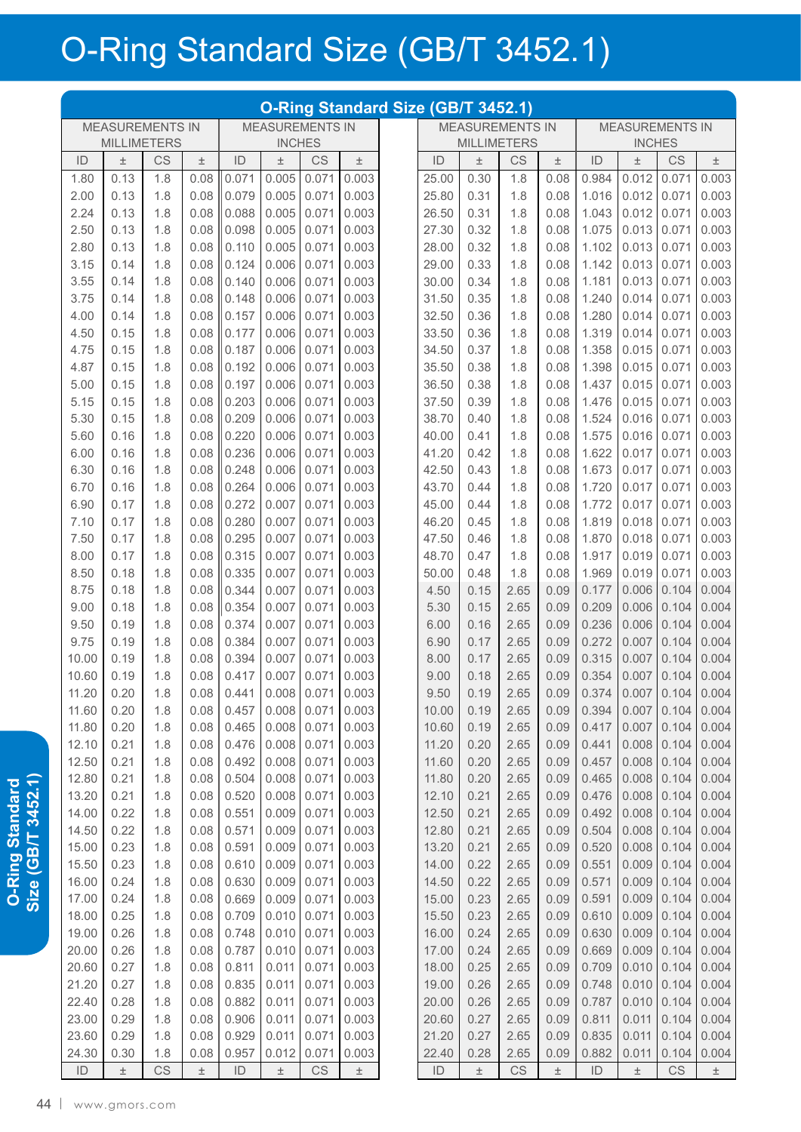## O-Ring Standard Size (GB/T 3452.1)

|                                                  | O-Ring Standard Size (GB/T 3452.1)<br><b>MEASUREMENTS IN</b> |            |              |                |                |                        |                |  |                |              |                        |                        |                |                |                        |                |  |
|--------------------------------------------------|--------------------------------------------------------------|------------|--------------|----------------|----------------|------------------------|----------------|--|----------------|--------------|------------------------|------------------------|----------------|----------------|------------------------|----------------|--|
| <b>MEASUREMENTS IN</b><br><b>MEASUREMENTS IN</b> |                                                              |            |              |                |                |                        |                |  |                |              |                        | <b>MEASUREMENTS IN</b> |                |                |                        |                |  |
|                                                  | <b>MILLIMETERS</b>                                           |            |              |                | <b>INCHES</b>  |                        |                |  |                |              | <b>MILLIMETERS</b>     |                        | <b>INCHES</b>  |                |                        |                |  |
| ID                                               | $\pm$                                                        | CS         | $\pm$        | ID             | $\pm$          | <b>CS</b>              | $\pm$          |  | ID             | $\pm$        | CS                     | $\pm$                  | ID             | $\pm$          | <b>CS</b>              | $\pm$          |  |
| 1.80                                             | 0.13                                                         | 1.8        | 0.08         | 0.071          | 0.005          | 0.071                  | 0.003          |  | 25.00          | 0.30         | 1.8                    | 0.08                   | 0.984          | 0.012          | 0.071                  | 0.003          |  |
| 2.00                                             | 0.13                                                         | 1.8        | 0.08         | 0.079          | 0.005          | 0.071                  | 0.003          |  | 25.80          | 0.31         | 1.8                    | 0.08                   | 1.016          | 0.012          | 0.071                  | 0.003          |  |
| 2.24                                             | 0.13                                                         | 1.8        | 0.08         | 0.088          | 0.005          | 0.071                  | 0.003          |  | 26.50          | 0.31         | 1.8                    | 0.08                   | 1.043          | 0.012          | 0.071                  | 0.003          |  |
| 2.50                                             | 0.13                                                         | 1.8        | 0.08         | 0.098          | 0.005          | 0.071                  | 0.003          |  | 27.30          | 0.32         | 1.8                    | 0.08                   | 1.075          | 0.013          | 0.071                  | 0.003          |  |
| 2.80                                             | 0.13                                                         | 1.8        | 0.08         | 0.110          | 0.005          | 0.071                  | 0.003          |  | 28.00          | 0.32         | 1.8                    | 0.08                   | 1.102          | 0.013          | 0.071                  | 0.003          |  |
| 3.15                                             | 0.14                                                         | 1.8        | 0.08         | 0.124          | 0.006          | 0.071                  | 0.003          |  | 29.00          | 0.33         | 1.8                    | 0.08                   | 1.142          | 0.013          | 0.071                  | 0.003          |  |
| 3.55                                             | 0.14                                                         | 1.8        | 0.08         | 0.140          | 0.006          | 0.071                  | 0.003          |  | 30.00          | 0.34         | 1.8                    | 0.08                   | 1.181          | 0.013          | 0.071                  | 0.003          |  |
| 3.75                                             | 0.14                                                         | 1.8        | 0.08         | 0.148          | 0.006          | 0.071                  | 0.003          |  | 31.50          | 0.35         | 1.8                    | 0.08                   | 1.240          | 0.014          | 0.071                  | 0.003          |  |
| 4.00                                             | 0.14                                                         | 1.8        | 0.08         | 0.157          | 0.006          | 0.071                  | 0.003          |  | 32.50          | 0.36         | 1.8                    | 0.08                   | 1.280          | 0.014          | 0.071                  | 0.003          |  |
| 4.50                                             | 0.15                                                         | 1.8        | 0.08         | 0.177          | 0.006          | 0.071                  | 0.003          |  | 33.50          | 0.36         | 1.8                    | 0.08                   | 1.319          | 0.014          | 0.071                  | 0.003          |  |
| 4.75                                             | 0.15                                                         | 1.8        | 0.08         | 0.187          | 0.006          | 0.071                  | 0.003          |  | 34.50          | 0.37         | 1.8                    | 0.08                   | 1.358          | 0.015          | 0.071                  | 0.003          |  |
| 4.87                                             | 0.15                                                         | 1.8        | 0.08         | 0.192          | 0.006          | 0.071                  | 0.003          |  | 35.50          | 0.38         | 1.8                    | 0.08                   | 1.398          | 0.015          | 0.071                  | 0.003          |  |
| 5.00                                             | 0.15                                                         | 1.8        | 0.08         | 0.197          | 0.006          | 0.071                  | 0.003          |  | 36.50          | 0.38         | 1.8                    | 0.08                   | 1.437          | 0.015          | 0.071                  | 0.003          |  |
| 5.15                                             | 0.15                                                         | 1.8        | 0.08         | 0.203          | 0.006          | 0.071                  | 0.003          |  | 37.50          | 0.39         | 1.8                    | 0.08                   | 1.476          | 0.015          | 0.071                  | 0.003          |  |
| 5.30                                             | 0.15                                                         | 1.8        | 0.08         | 0.209          | 0.006          | 0.071                  | 0.003          |  | 38.70          | 0.40         | 1.8                    | 0.08                   | 1.524          | 0.016          | 0.071                  | 0.003          |  |
| 5.60                                             | 0.16<br>0.16                                                 | 1.8<br>1.8 | 0.08<br>0.08 | 0.220<br>0.236 | 0.006<br>0.006 | 0.071<br>0.071         | 0.003<br>0.003 |  | 40.00          | 0.41         | 1.8<br>1.8             | 0.08<br>0.08           | 1.575<br>1.622 | 0.016<br>0.017 | 0.071                  | 0.003<br>0.003 |  |
| 6.00<br>6.30                                     | 0.16                                                         | 1.8        | 0.08         | 0.248          | 0.006          | 0.071                  | 0.003          |  | 41.20<br>42.50 | 0.42<br>0.43 | 1.8                    | 0.08                   | 1.673          | 0.017          | 0.071<br>0.071         | 0.003          |  |
| 6.70                                             | 0.16                                                         | 1.8        | 0.08         | 0.264          | 0.006          | 0.071                  | 0.003          |  | 43.70          | 0.44         | 1.8                    | 0.08                   | 1.720          | 0.017          | 0.071                  | 0.003          |  |
| 6.90                                             | 0.17                                                         | 1.8        | 0.08         | 0.272          | 0.007          | 0.071                  | 0.003          |  | 45.00          | 0.44         | 1.8                    | 0.08                   | 1.772          | 0.017          | 0.071                  | 0.003          |  |
| 7.10                                             | 0.17                                                         | 1.8        | 0.08         | 0.280          | 0.007          | 0.071                  | 0.003          |  | 46.20          | 0.45         | 1.8                    | 0.08                   | 1.819          | 0.018          | 0.071                  | 0.003          |  |
| 7.50                                             | 0.17                                                         | 1.8        | 0.08         | 0.295          | 0.007          | 0.071                  | 0.003          |  | 47.50          | 0.46         | 1.8                    | 0.08                   | 1.870          | 0.018          | 0.071                  | 0.003          |  |
| 8.00                                             | 0.17                                                         | 1.8        | 0.08         | 0.315          | 0.007          | 0.071                  | 0.003          |  | 48.70          | 0.47         | 1.8                    | 0.08                   | 1.917          | 0.019          | 0.071                  | 0.003          |  |
| 8.50                                             | 0.18                                                         | 1.8        | 0.08         | 0.335          | 0.007          | 0.071                  | 0.003          |  | 50.00          | 0.48         | 1.8                    | 0.08                   | 1.969          | 0.019          | 0.071                  | 0.003          |  |
| 8.75                                             | 0.18                                                         | 1.8        | 0.08         | 0.344          | 0.007          | 0.071                  | 0.003          |  | 4.50           | 0.15         | 2.65                   | 0.09                   | 0.177          | 0.006          | 0.104                  | 0.004          |  |
| 9.00                                             | 0.18                                                         | 1.8        | 0.08         | 0.354          | 0.007          | 0.071                  | 0.003          |  | 5.30           | 0.15         | 2.65                   | 0.09                   | 0.209          | 0.006          | 0.104                  | 0.004          |  |
| 9.50                                             | 0.19                                                         | 1.8        | 0.08         | 0.374          | 0.007          | 0.071                  | 0.003          |  | 6.00           | 0.16         | 2.65                   | 0.09                   | 0.236          | 0.006          | 0.104                  | 0.004          |  |
| 9.75                                             | 0.19                                                         | 1.8        | 0.08         | 0.384          | 0.007          | 0.071                  | 0.003          |  | 6.90           | 0.17         | 2.65                   | 0.09                   | 0.272          | 0.007          | 0.104                  | 0.004          |  |
| 10.00                                            | 0.19                                                         | 1.8        | 0.08         | 0.394          | 0.007          | 0.071                  | 0.003          |  | 8.00           | 0.17         | 2.65                   | 0.09                   | 0.315          | 0.007          | 0.104                  | 0.004          |  |
| 10.60                                            | 0.19                                                         | 1.8        | 0.08         | 0.417          | 0.007          | 0.071                  | 0.003          |  | 9.00           | 0.18         | 2.65                   | 0.09                   | 0.354          | 0.007          | 0.104                  | 0.004          |  |
| 11.20                                            | 0.20                                                         | 1.8        | 0.08         | 0.441          | 0.008          | 0.071                  | 0.003          |  | 9.50           | 0.19         | 2.65                   | 0.09                   | 0.374          | 0.007          | 0.104                  | 0.004          |  |
| 11.60                                            | 0.20                                                         | 1.8        | 0.08         | 0.457          | 0.008          | 0.071                  | 0.003          |  | 10.00          | 0.19         | 2.65                   | 0.09                   | 0.394          | 0.007          | 0.104                  | 0.004          |  |
| 11.80                                            | 0.20                                                         | 1.8        | 0.08         | 0.465          | 0.008          | 0.071                  | 0.003          |  | 10.60          | 0.19         | 2.65                   | 0.09                   | 0.417          | 0.007          | 0.104                  | 0.004          |  |
| 12.10                                            | 0.21                                                         | 1.8        | 0.08         | 0.476          | 0.008          | 0.071                  | 0.003          |  | 11.20          | 0.20         | 2.65                   | 0.09                   | 0.441          | 0.008          | 0.104                  | 0.004          |  |
| 12.50                                            | 0.21                                                         | 1.8        | 0.08         | 0.492          | 0.008          | 0.071                  | 0.003          |  | 11.60          | 0.20         | 2.65                   | 0.09                   | 0.457          | 0.008          | 0.104                  | 0.004          |  |
| 12.80                                            | 0.21                                                         | 1.8        | 0.08         | 0.504          | 0.008          | 0.071                  | 0.003          |  | 11.80          | 0.20         | 2.65                   | 0.09                   | 0.465          | 0.008          | 0.104                  | 0.004          |  |
| 13.20                                            | 0.21                                                         | 1.8        | 0.08         | 0.520          | 0.008          | 0.071                  | 0.003          |  | 12.10          | 0.21         | 2.65                   | 0.09                   | 0.476          | 0.008          | 0.104                  | 0.004          |  |
| 14.00                                            | 0.22                                                         | 1.8        | 0.08         | 0.551          | 0.009          | 0.071                  | 0.003          |  | 12.50          | 0.21         | 2.65                   | 0.09                   | 0.492          | 0.008          | 0.104                  | 0.004          |  |
| 14.50                                            | 0.22                                                         | 1.8        | 0.08         | 0.571          | 0.009          | 0.071                  | 0.003          |  | 12.80          | 0.21         | 2.65                   | 0.09                   | 0.504          | 0.008          | 0.104                  | 0.004          |  |
| 15.00                                            | 0.23                                                         | 1.8        | 0.08         | 0.591          | 0.009          | 0.071                  | 0.003          |  | 13.20          | 0.21         | 2.65                   | 0.09                   | 0.520          | 0.008          | 0.104                  | 0.004          |  |
| 15.50                                            | 0.23                                                         | 1.8        | 0.08         | 0.610          | 0.009          | 0.071                  | 0.003          |  | 14.00          | 0.22         | 2.65                   | 0.09                   | 0.551          | 0.009          | 0.104                  | 0.004          |  |
| 16.00                                            | 0.24                                                         | 1.8        | 0.08         | 0.630          | 0.009          | 0.071                  | 0.003          |  | 14.50          | 0.22         | 2.65                   | 0.09                   | 0.571          | 0.009          | 0.104                  | 0.004          |  |
| 17.00                                            | 0.24                                                         | 1.8        | 0.08         | 0.669          | 0.009          | 0.071                  | 0.003          |  | 15.00          | 0.23         | 2.65                   | 0.09                   | 0.591          | 0.009          | 0.104                  | 0.004          |  |
| 18.00                                            | 0.25                                                         | 1.8        | 0.08         | 0.709          | 0.010          | 0.071                  | 0.003          |  | 15.50          | 0.23         | 2.65                   | 0.09                   | 0.610          | 0.009          | 0.104                  | 0.004          |  |
| 19.00                                            | 0.26                                                         | 1.8        | 0.08         | 0.748          | 0.010          | 0.071                  | 0.003          |  | 16.00          | 0.24         | 2.65                   | 0.09                   | 0.630          | 0.009          | 0.104                  | 0.004          |  |
| 20.00                                            | 0.26                                                         | 1.8        | 0.08         | 0.787          | 0.010          | 0.071                  | 0.003          |  | 17.00          | 0.24         | 2.65                   | 0.09                   | 0.669          | 0.009          | 0.104                  | 0.004          |  |
| 20.60                                            | 0.27                                                         | 1.8        | 0.08         | 0.811          | 0.011          | 0.071                  | 0.003          |  | 18.00          | 0.25         | 2.65                   | 0.09                   | 0.709          | 0.010          | 0.104                  | 0.004          |  |
| 21.20                                            | 0.27                                                         | 1.8        | 0.08         | 0.835          | 0.011          | 0.071                  | 0.003          |  | 19.00          | 0.26         | 2.65                   | 0.09                   | 0.748          | 0.010          | 0.104                  | 0.004          |  |
| 22.40                                            | 0.28                                                         | 1.8        | 0.08         | 0.882          | 0.011          | 0.071                  | 0.003          |  | 20.00          | 0.26         | 2.65                   | 0.09                   | 0.787          | 0.010          | 0.104                  | 0.004          |  |
| 23.00                                            | 0.29                                                         | 1.8        | 0.08         | 0.906          | 0.011          | 0.071                  | 0.003          |  | 20.60          | 0.27         | 2.65                   | 0.09                   | 0.811          | 0.011          | 0.104                  | 0.004          |  |
| 23.60                                            | 0.29                                                         | 1.8        | 0.08         | 0.929          | 0.011          | 0.071                  | 0.003          |  | 21.20          | 0.27         | 2.65                   | 0.09                   | 0.835          | 0.011          | 0.104                  | 0.004          |  |
| 24.30                                            | 0.30                                                         | 1.8        | 0.08         | 0.957          | 0.012          | 0.071                  | 0.003          |  | 22.40          | 0.28         | 2.65                   | 0.09                   | 0.882          | 0.011          | 0.104                  | 0.004          |  |
| $\mathsf{ID}$                                    | $\pm$                                                        | CS         | $\pm$        | $\mathsf{ID}$  | $\pm$          | $\mathbb{C}\mathsf{S}$ | $\pm$          |  | $\mathsf{ID}$  | $\pm$        | $\mathbb{C}\mathbb{S}$ | $\pm$                  | $\mathsf{ID}$  | $\pm$          | $\mathbb{C}\mathsf{S}$ | $\pm$          |  |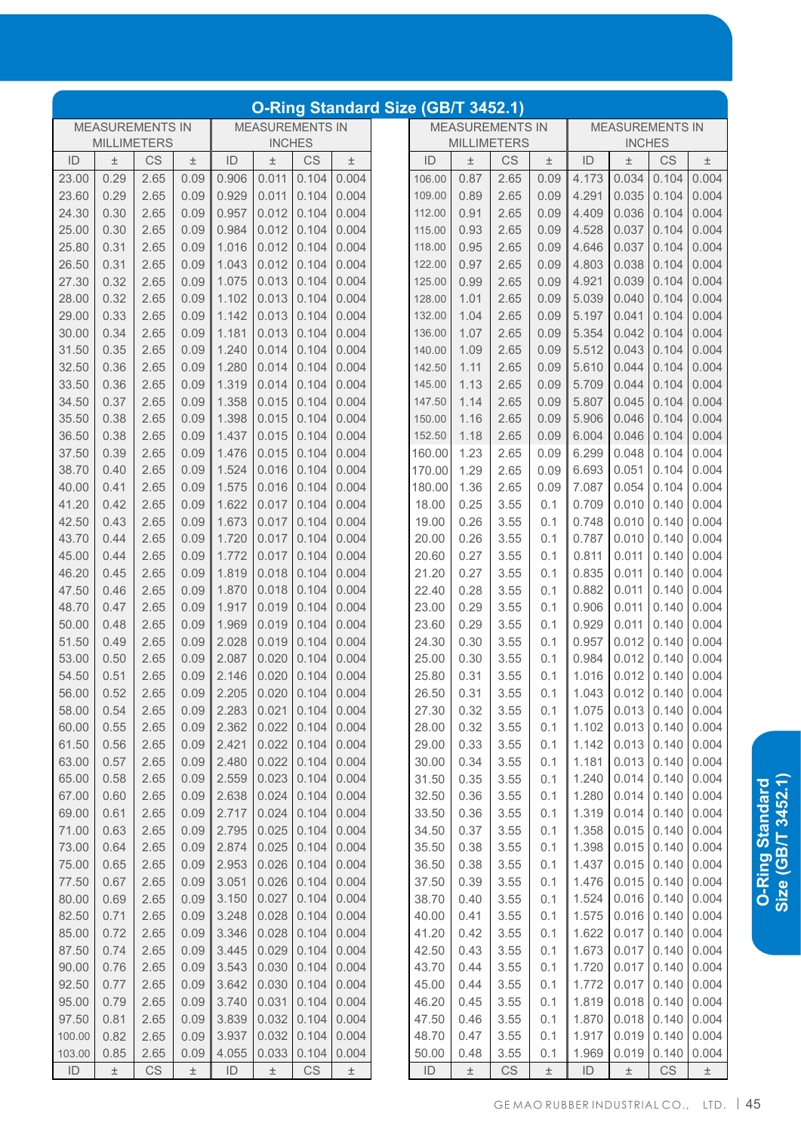| <b>O-Ring Standard Size (GB/T 3452.1)</b> |       |                        |                        |       |      |                        |       |        |       |                                                  |       |       |       |      |       |        |  |  |
|-------------------------------------------|-------|------------------------|------------------------|-------|------|------------------------|-------|--------|-------|--------------------------------------------------|-------|-------|-------|------|-------|--------|--|--|
|                                           |       |                        | <b>MEASUREMENTS IN</b> |       |      | <b>MEASUREMENTS IN</b> |       |        |       | <b>MEASUREMENTS IN</b><br><b>MEASUREMENTS IN</b> |       |       |       |      |       |        |  |  |
| <b>INCHES</b>                             |       |                        |                        |       |      | <b>MILLIMETERS</b>     |       |        |       | <b>MILLIMETERS</b><br><b>INCHES</b>              |       |       |       |      |       |        |  |  |
|                                           | $\pm$ | CS                     | $\pm$                  | ID    | 土    | CS                     | $\pm$ | ID     | $\pm$ | CS                                               | $\pm$ | ID    | $\pm$ | CS   | $\pm$ | ID     |  |  |
|                                           | 0.004 | 0.104                  | 0.034                  | 4.173 | 0.09 | 2.65                   | 0.87  | 106.00 | 0.004 | 0.104                                            | 0.011 | 0.906 | 0.09  | 2.65 | 0.29  | 23.00  |  |  |
|                                           | 0.004 | 0.104                  | 0.035                  | 4.291 | 0.09 | 2.65                   | 0.89  | 109.00 | 0.004 | 0.104                                            | 0.011 | 0.929 | 0.09  | 2.65 | 0.29  | 23.60  |  |  |
|                                           | 0.004 | 0.104                  | 0.036                  | 4.409 | 0.09 | 2.65                   | 0.91  | 112.00 | 0.004 | 0.104                                            | 0.012 | 0.957 | 0.09  | 2.65 | 0.30  | 24.30  |  |  |
|                                           | 0.004 | 0.104                  | 0.037                  | 4.528 | 0.09 | 2.65                   | 0.93  | 115.00 | 0.004 | 0.104                                            | 0.012 | 0.984 | 0.09  | 2.65 | 0.30  | 25.00  |  |  |
|                                           | 0.004 | 0.104                  | 0.037                  | 4.646 | 0.09 | 2.65                   | 0.95  | 118.00 | 0.004 | 0.104                                            | 0.012 | 1.016 | 0.09  | 2.65 | 0.31  | 25.80  |  |  |
|                                           | 0.004 | 0.104                  | 0.038                  | 4.803 | 0.09 | 2.65                   | 0.97  | 122.00 | 0.004 | 0.104                                            | 0.012 | 1.043 | 0.09  | 2.65 | 0.31  | 26.50  |  |  |
|                                           | 0.004 | 0.104                  | 0.039                  | 4.921 | 0.09 | 2.65                   | 0.99  | 125.00 | 0.004 | 0.104                                            | 0.013 | 1.075 | 0.09  | 2.65 | 0.32  | 27.30  |  |  |
|                                           | 0.004 | 0.104                  | 0.040                  | 5.039 | 0.09 | 2.65                   | 1.01  | 128.00 | 0.004 | 0.104                                            | 0.013 | 1.102 | 0.09  | 2.65 | 0.32  | 28.00  |  |  |
|                                           | 0.004 | 0.104                  | 0.041                  | 5.197 | 0.09 | 2.65                   | 1.04  | 132.00 | 0.004 | 0.104                                            | 0.013 | 1.142 | 0.09  | 2.65 | 0.33  | 29.00  |  |  |
|                                           | 0.004 | 0.104                  | 0.042                  | 5.354 | 0.09 | 2.65                   | 1.07  | 136.00 | 0.004 | 0.104                                            | 0.013 | 1.181 | 0.09  | 2.65 | 0.34  | 30.00  |  |  |
|                                           | 0.004 | 0.104                  | 0.043                  | 5.512 | 0.09 | 2.65                   | 1.09  | 140.00 | 0.004 | 0.104                                            | 0.014 | 1.240 | 0.09  | 2.65 | 0.35  | 31.50  |  |  |
|                                           | 0.004 | 0.104                  | 0.044                  | 5.610 | 0.09 | 2.65                   | 1.11  | 142.50 | 0.004 | 0.104                                            | 0.014 | 1.280 | 0.09  | 2.65 | 0.36  | 32.50  |  |  |
|                                           | 0.004 | 0.104                  | 0.044                  | 5.709 | 0.09 | 2.65                   | 1.13  | 145.00 | 0.004 | 0.104                                            | 0.014 | 1.319 | 0.09  | 2.65 | 0.36  | 33.50  |  |  |
|                                           | 0.004 | 0.104                  | 0.045                  | 5.807 | 0.09 | 2.65                   | 1.14  | 147.50 | 0.004 | 0.104                                            | 0.015 | 1.358 | 0.09  | 2.65 | 0.37  | 34.50  |  |  |
|                                           | 0.004 | 0.104                  | 0.046                  | 5.906 | 0.09 | 2.65                   | 1.16  | 150.00 | 0.004 | 0.104                                            | 0.015 | 1.398 | 0.09  | 2.65 | 0.38  | 35.50  |  |  |
|                                           | 0.004 | 0.104                  | 0.046                  | 6.004 | 0.09 | 2.65                   | 1.18  | 152.50 | 0.004 | 0.104                                            | 0.015 | 1.437 | 0.09  | 2.65 | 0.38  | 36.50  |  |  |
|                                           | 0.004 | 0.104                  | 0.048                  | 6.299 | 0.09 | 2.65                   | 1.23  | 160.00 | 0.004 | 0.104                                            | 0.015 | 1.476 | 0.09  | 2.65 | 0.39  | 37.50  |  |  |
|                                           | 0.004 | 0.104                  | 0.051                  | 6.693 | 0.09 | 2.65                   | 1.29  | 170.00 | 0.004 | 0.104                                            | 0.016 | 1.524 | 0.09  | 2.65 | 0.40  | 38.70  |  |  |
|                                           | 0.004 | 0.104                  | 0.054                  | 7.087 | 0.09 | 2.65                   | 1.36  | 180.00 | 0.004 | 0.104                                            | 0.016 | 1.575 | 0.09  | 2.65 | 0.41  | 40.00  |  |  |
|                                           | 0.004 | 0.140                  | 0.010                  | 0.709 | 0.1  | 3.55                   | 0.25  | 18.00  | 0.004 | 0.104                                            | 0.017 | 1.622 | 0.09  | 2.65 | 0.42  | 41.20  |  |  |
|                                           | 0.004 | 0.140                  | 0.010                  | 0.748 | 0.1  | 3.55                   | 0.26  | 19.00  | 0.004 | 0.104                                            | 0.017 | 1.673 | 0.09  | 2.65 | 0.43  | 42.50  |  |  |
|                                           | 0.004 | 0.140                  | 0.010                  | 0.787 | 0.1  | 3.55                   | 0.26  | 20.00  | 0.004 | 0.104                                            | 0.017 | 1.720 | 0.09  | 2.65 | 0.44  | 43.70  |  |  |
|                                           | 0.004 | 0.140                  | 0.011                  | 0.811 | 0.1  | 3.55                   | 0.27  | 20.60  | 0.004 | 0.104                                            | 0.017 | 1.772 | 0.09  | 2.65 | 0.44  | 45.00  |  |  |
|                                           | 0.004 | 0.140                  | 0.011                  | 0.835 | 0.1  | 3.55                   | 0.27  | 21.20  | 0.004 | 0.104                                            | 0.018 | 1.819 | 0.09  | 2.65 | 0.45  | 46.20  |  |  |
|                                           | 0.004 | 0.140                  | 0.011                  | 0.882 | 0.1  | 3.55                   | 0.28  | 22.40  | 0.004 | 0.104                                            | 0.018 | 1.870 | 0.09  | 2.65 | 0.46  | 47.50  |  |  |
|                                           | 0.004 | 0.140                  | 0.011                  | 0.906 | 0.1  | 3.55                   | 0.29  | 23.00  | 0.004 | 0.104                                            | 0.019 | 1.917 | 0.09  | 2.65 | 0.47  | 48.70  |  |  |
|                                           | 0.004 | 0.140                  | 0.011                  | 0.929 | 0.1  | 3.55                   | 0.29  | 23.60  | 0.004 | 0.104                                            | 0.019 | 1.969 | 0.09  | 2.65 | 0.48  | 50.00  |  |  |
|                                           | 0.004 | 0.140                  | 0.012                  | 0.957 | 0.1  | 3.55                   | 0.30  | 24.30  | 0.004 | 0.104                                            | 0.019 | 2.028 | 0.09  | 2.65 | 0.49  | 51.50  |  |  |
|                                           | 0.004 | 0.140                  | 0.012                  | 0.984 | 0.1  | 3.55                   | 0.30  | 25.00  | 0.004 | 0.104                                            | 0.020 | 2.087 | 0.09  | 2.65 | 0.50  | 53.00  |  |  |
|                                           | 0.004 | 0.140                  | 0.012                  | 1.016 | 0.1  | 3.55                   | 0.31  | 25.80  | 0.004 | 0.104                                            | 0.020 | 2.146 | 0.09  | 2.65 | 0.51  | 54.50  |  |  |
|                                           | 0.004 | $0.012$ 0.140          |                        | 1.043 | 0.1  | 3.55                   | 0.31  | 26.50  |       | $0.020$ 0.104 0.004                              |       | 2.205 | 0.09  | 2.65 | 0.52  | 56.00  |  |  |
|                                           | 0.004 | 0.140                  | 0.013                  | 1.075 | 0.1  | 3.55                   | 0.32  | 27.30  | 0.004 | 0.104                                            | 0.021 | 2.283 | 0.09  | 2.65 | 0.54  | 58.00  |  |  |
|                                           | 0.004 | 0.140                  | 0.013                  | 1.102 | 0.1  | 3.55                   | 0.32  | 28.00  | 0.004 | 0.104                                            | 0.022 | 2.362 | 0.09  | 2.65 | 0.55  | 60.00  |  |  |
|                                           | 0.004 | 0.140                  | 0.013                  | 1.142 | 0.1  | 3.55                   | 0.33  | 29.00  | 0.004 | 0.104                                            | 0.022 | 2.421 | 0.09  | 2.65 | 0.56  | 61.50  |  |  |
|                                           | 0.004 | 0.140                  | 0.013                  | 1.181 | 0.1  | 3.55                   | 0.34  | 30.00  | 0.004 | 0.104                                            | 0.022 | 2.480 | 0.09  | 2.65 | 0.57  | 63.00  |  |  |
|                                           | 0.004 | 0.140                  | 0.014                  | 1.240 | 0.1  | 3.55                   | 0.35  | 31.50  | 0.004 | 0.104                                            | 0.023 | 2.559 | 0.09  | 2.65 | 0.58  | 65.00  |  |  |
|                                           | 0.004 | 0.140                  | 0.014                  | 1.280 | 0.1  | 3.55                   | 0.36  | 32.50  | 0.004 | 0.104                                            | 0.024 | 2.638 | 0.09  | 2.65 | 0.60  | 67.00  |  |  |
|                                           | 0.004 | 0.140                  | 0.014                  | 1.319 | 0.1  | 3.55                   | 0.36  | 33.50  | 0.004 | 0.104                                            | 0.024 | 2.717 | 0.09  | 2.65 | 0.61  | 69.00  |  |  |
|                                           | 0.004 | 0.140                  | 0.015                  | 1.358 | 0.1  | 3.55                   | 0.37  | 34.50  | 0.004 | 0.104                                            | 0.025 | 2.795 | 0.09  | 2.65 | 0.63  | 71.00  |  |  |
|                                           | 0.004 | 0.140                  | 0.015                  | 1.398 | 0.1  | 3.55                   | 0.38  | 35.50  | 0.004 | 0.104                                            | 0.025 | 2.874 | 0.09  | 2.65 | 0.64  | 73.00  |  |  |
|                                           | 0.004 | 0.140                  | 0.015                  | 1.437 | 0.1  | 3.55                   | 0.38  | 36.50  | 0.004 | 0.104                                            | 0.026 | 2.953 | 0.09  | 2.65 | 0.65  | 75.00  |  |  |
|                                           | 0.004 | 0.140                  | 0.015                  | 1.476 | 0.1  | 3.55                   | 0.39  | 37.50  | 0.004 | 0.104                                            | 0.026 | 3.051 | 0.09  | 2.65 | 0.67  | 77.50  |  |  |
|                                           | 0.004 | 0.140                  | 0.016                  | 1.524 | 0.1  | 3.55                   | 0.40  | 38.70  | 0.004 | 0.104                                            | 0.027 | 3.150 | 0.09  | 2.65 | 0.69  | 80.00  |  |  |
|                                           | 0.004 | 0.140                  | 0.016                  | 1.575 | 0.1  | 3.55                   | 0.41  | 40.00  | 0.004 | 0.104                                            | 0.028 | 3.248 | 0.09  | 2.65 | 0.71  | 82.50  |  |  |
|                                           | 0.004 | 0.140                  | 0.017                  | 1.622 | 0.1  | 3.55                   | 0.42  | 41.20  | 0.004 | 0.104                                            | 0.028 | 3.346 | 0.09  | 2.65 | 0.72  | 85.00  |  |  |
|                                           | 0.004 | 0.140                  | 0.017                  | 1.673 | 0.1  | 3.55                   | 0.43  | 42.50  | 0.004 | 0.104                                            | 0.029 | 3.445 | 0.09  | 2.65 | 0.74  | 87.50  |  |  |
|                                           | 0.004 | 0.140                  | 0.017                  | 1.720 | 0.1  | 3.55                   | 0.44  | 43.70  | 0.004 | 0.104                                            | 0.030 | 3.543 | 0.09  | 2.65 | 0.76  | 90.00  |  |  |
|                                           | 0.004 | 0.140                  | 0.017                  | 1.772 | 0.1  | 3.55                   | 0.44  | 45.00  | 0.004 | 0.104                                            | 0.030 | 3.642 | 0.09  | 2.65 | 0.77  | 92.50  |  |  |
|                                           | 0.004 | 0.140                  | 0.018                  | 1.819 | 0.1  | 3.55                   | 0.45  | 46.20  | 0.004 | 0.104                                            | 0.031 | 3.740 | 0.09  | 2.65 | 0.79  | 95.00  |  |  |
|                                           | 0.004 | 0.140                  | 0.018                  | 1.870 | 0.1  | 3.55                   | 0.46  | 47.50  | 0.004 | 0.104                                            | 0.032 | 3.839 | 0.09  | 2.65 | 0.81  | 97.50  |  |  |
|                                           | 0.004 | 0.140                  | 0.019                  | 1.917 | 0.1  | 3.55                   | 0.47  | 48.70  | 0.004 | 0.104                                            | 0.032 | 3.937 | 0.09  | 2.65 | 0.82  | 100.00 |  |  |
|                                           | 0.004 | 0.140                  | 0.019                  | 1.969 | 0.1  | 3.55                   | 0.48  | 50.00  | 0.004 | 0.104                                            | 0.033 | 4.055 | 0.09  | 2.65 | 0.85  | 103.00 |  |  |
|                                           | $\pm$ | $\mathbb{C}\mathbb{S}$ | $\pm$                  | ID    | 土    | CS                     | $\pm$ | ID     | $\pm$ | CS                                               | $\pm$ | ID    | $\pm$ | CS   | $\pm$ | ID     |  |  |

**Size (GB/T 3452.1)**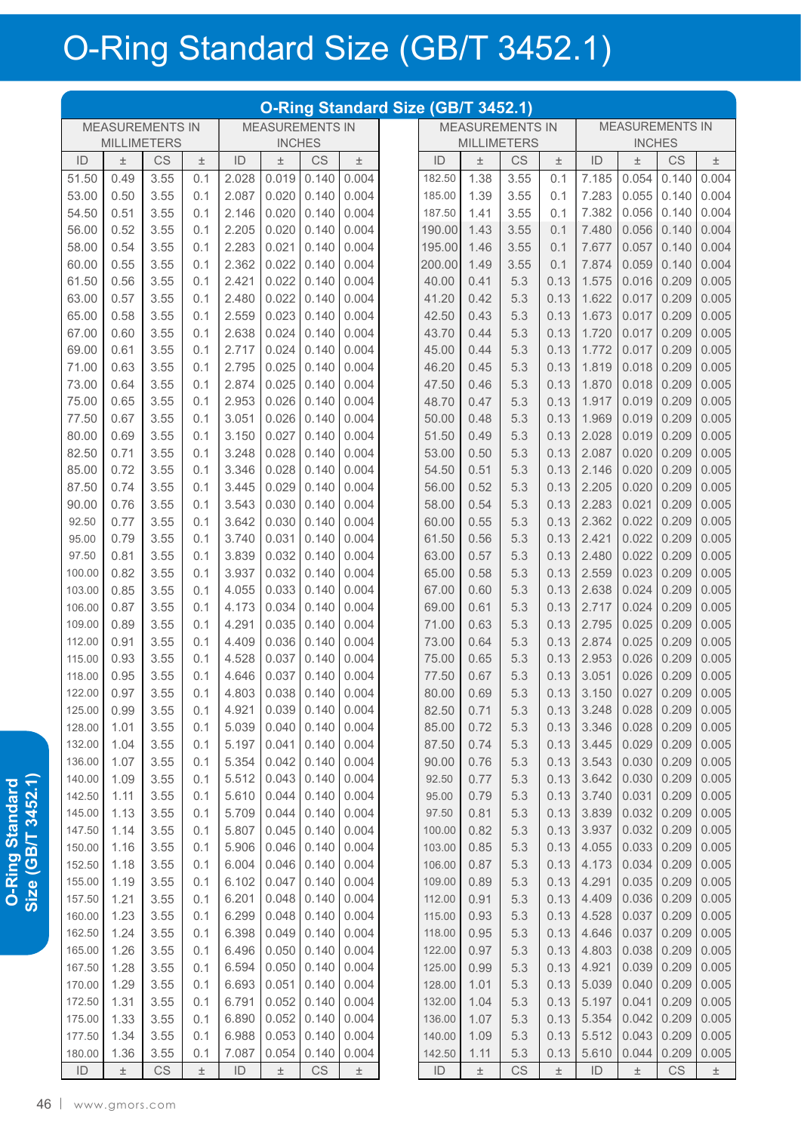## O-Ring Standard Size (GB/T 3452.1)

|                                                  | O-Ring Standard Size (GB/T 3452.1) |                        |            |                |                |                        |                |  |                |                        |                    |                        |                |                |                        |                |
|--------------------------------------------------|------------------------------------|------------------------|------------|----------------|----------------|------------------------|----------------|--|----------------|------------------------|--------------------|------------------------|----------------|----------------|------------------------|----------------|
| <b>MEASUREMENTS IN</b><br><b>MEASUREMENTS IN</b> |                                    |                        |            |                |                |                        |                |  |                | <b>MEASUREMENTS IN</b> |                    | <b>MEASUREMENTS IN</b> |                |                |                        |                |
|                                                  | <b>MILLIMETERS</b>                 |                        |            |                | <b>INCHES</b>  |                        |                |  |                |                        | <b>MILLIMETERS</b> |                        |                | <b>INCHES</b>  |                        |                |
| ID                                               | $\pm$                              | CS                     | $\pm$      | ID             | $\pm$          | <b>CS</b>              | $\pm$          |  | ID             | $\pm$                  | CS                 | 土                      | ID             | $\pm$          | CS                     | $\pm$          |
| 51.50                                            | 0.49                               | 3.55                   | 0.1        | 2.028          | 0.019          | 0.140                  | 0.004          |  | 182.50         | 1.38                   | 3.55               | 0.1                    | 7.185          | 0.054          | 0.140                  | 0.004          |
| 53.00                                            | 0.50                               | 3.55                   | 0.1        | 2.087          | 0.020          | 0.140                  | 0.004          |  | 185.00         | 1.39                   | 3.55               | 0.1                    | 7.283          | 0.055          | 0.140                  | 0.004          |
| 54.50                                            | 0.51                               | 3.55                   | 0.1        | 2.146          | 0.020          | 0.140                  | 0.004          |  | 187.50         | 1.41                   | 3.55               | 0.1                    | 7.382          | 0.056          | 0.140                  | 0.004          |
| 56.00                                            | 0.52                               | 3.55                   | 0.1        | 2.205          | 0.020          | 0.140                  | 0.004          |  | 190.00         | 1.43                   | 3.55               | 0.1                    | 7.480          | 0.056          | 0.140                  | 0.004          |
| 58.00                                            | 0.54                               | 3.55                   | 0.1        | 2.283          | 0.021          | 0.140                  | 0.004          |  | 195.00         | 1.46                   | 3.55               | 0.1                    | 7.677          | 0.057          | 0.140                  | 0.004          |
| 60.00                                            | 0.55                               | 3.55                   | 0.1        | 2.362          | 0.022          | 0.140                  | 0.004          |  | 200.00         | 1.49                   | 3.55               | 0.1                    | 7.874          | 0.059          | 0.140                  | 0.004          |
| 61.50                                            | 0.56                               | 3.55                   | 0.1        | 2.421          | 0.022          | 0.140                  | 0.004          |  | 40.00          | 0.41                   | 5.3                | 0.13                   | 1.575          | 0.016          | 0.209                  | 0.005          |
| 63.00                                            | 0.57                               | 3.55                   | 0.1        | 2.480          | 0.022          | 0.140                  | 0.004          |  | 41.20          | 0.42                   | 5.3                | 0.13                   | 1.622          | 0.017          | 0.209                  | 0.005          |
| 65.00                                            | 0.58                               | 3.55                   | 0.1        | 2.559          | 0.023          | 0.140                  | 0.004          |  | 42.50          | 0.43                   | 5.3                | 0.13                   | 1.673          | 0.017          | 0.209                  | 0.005          |
| 67.00                                            | 0.60                               | 3.55                   | 0.1        | 2.638          | 0.024          | 0.140                  | 0.004          |  | 43.70          | 0.44                   | 5.3                | 0.13                   | 1.720          | 0.017          | 0.209                  | 0.005          |
| 69.00                                            | 0.61                               | 3.55                   | 0.1        | 2.717          | 0.024          | 0.140                  | 0.004          |  | 45.00          | 0.44                   | 5.3                | 0.13                   | 1.772          | 0.017          | 0.209                  | 0.005          |
| 71.00                                            | 0.63                               | 3.55                   | 0.1        | 2.795          | 0.025          | 0.140                  | 0.004          |  | 46.20          | 0.45                   | 5.3                | 0.13                   | 1.819          | 0.018          | 0.209                  | 0.005          |
| 73.00                                            | 0.64                               | 3.55                   | 0.1        | 2.874          | 0.025          | 0.140                  | 0.004          |  | 47.50          | 0.46                   | 5.3                | 0.13                   | 1.870          | 0.018          | 0.209                  | 0.005          |
| 75.00                                            | 0.65                               | 3.55                   | 0.1        | 2.953          | 0.026          | 0.140                  | 0.004          |  | 48.70          | 0.47                   | 5.3                | 0.13                   | 1.917          | 0.019          | 0.209                  | 0.005          |
| 77.50                                            | 0.67                               | 3.55                   | 0.1        | 3.051          | 0.026          | 0.140                  | 0.004          |  | 50.00          | 0.48                   | 5.3                | 0.13                   | 1.969          | 0.019          | 0.209                  | 0.005          |
| 80.00                                            | 0.69                               | 3.55                   | 0.1        | 3.150          | 0.027          | 0.140                  | 0.004          |  | 51.50          | 0.49                   | 5.3                | 0.13                   | 2.028          | 0.019          | 0.209                  | 0.005          |
| 82.50                                            | 0.71                               | 3.55                   | 0.1        | 3.248          | 0.028          | 0.140                  | 0.004          |  | 53.00          | 0.50                   | 5.3                | 0.13                   | 2.087          | 0.020          | 0.209                  | 0.005          |
| 85.00                                            | 0.72                               | 3.55                   | 0.1        | 3.346          | 0.028          | 0.140                  | 0.004          |  | 54.50          | 0.51                   | 5.3                | 0.13                   | 2.146          | 0.020          | 0.209                  | 0.005          |
| 87.50                                            | 0.74                               | 3.55                   | 0.1        | 3.445          | 0.029          | 0.140                  | 0.004          |  | 56.00          | 0.52                   | 5.3                | 0.13                   | 2.205          | 0.020          | 0.209                  | 0.005          |
| 90.00                                            | 0.76                               | 3.55                   | 0.1        | 3.543          | 0.030          | 0.140                  | 0.004          |  | 58.00          | 0.54                   | 5.3                | 0.13                   | 2.283          | 0.021          | 0.209                  | 0.005          |
| 92.50                                            | 0.77                               | 3.55                   | 0.1        | 3.642          | 0.030          | 0.140                  | 0.004          |  | 60.00          | 0.55                   | 5.3                | 0.13                   | 2.362          | 0.022          | 0.209                  | 0.005          |
| 95.00                                            | 0.79                               | 3.55                   | 0.1        | 3.740          | 0.031          | 0.140                  | 0.004          |  | 61.50          | 0.56                   | 5.3                | 0.13                   | 2.421          | 0.022          | 0.209                  | 0.005          |
| 97.50                                            | 0.81<br>0.82                       | 3.55                   | 0.1<br>0.1 | 3.839          | 0.032          | 0.140                  | 0.004          |  | 63.00          | 0.57                   | 5.3<br>5.3         | 0.13<br>0.13           | 2.480          | 0.022          | 0.209                  | 0.005<br>0.005 |
| 100.00<br>103.00                                 | 0.85                               | 3.55<br>3.55           | 0.1        | 3.937<br>4.055 | 0.032<br>0.033 | 0.140<br>0.140         | 0.004<br>0.004 |  | 65.00<br>67.00 | 0.58<br>0.60           | 5.3                | 0.13                   | 2.559<br>2.638 | 0.023<br>0.024 | 0.209<br>0.209         | 0.005          |
| 106.00                                           | 0.87                               | 3.55                   | 0.1        | 4.173          | 0.034          | 0.140                  | 0.004          |  | 69.00          | 0.61                   | 5.3                | 0.13                   | 2.717          | 0.024          | 0.209                  | 0.005          |
| 109.00                                           | 0.89                               | 3.55                   | 0.1        | 4.291          | 0.035          | 0.140                  | 0.004          |  | 71.00          | 0.63                   | 5.3                | 0.13                   | 2.795          | 0.025          | 0.209                  | 0.005          |
| 112.00                                           | 0.91                               | 3.55                   | 0.1        | 4.409          | 0.036          | 0.140                  | 0.004          |  | 73.00          | 0.64                   | 5.3                | 0.13                   | 2.874          | 0.025          | 0.209                  | 0.005          |
| 115.00                                           | 0.93                               | 3.55                   | 0.1        | 4.528          | 0.037          | 0.140                  | 0.004          |  | 75.00          | 0.65                   | 5.3                | 0.13                   | 2.953          | 0.026          | 0.209                  | 0.005          |
| 118.00                                           | 0.95                               | 3.55                   | 0.1        | 4.646          | 0.037          | 0.140                  | 0.004          |  | 77.50          | 0.67                   | 5.3                | 0.13                   | 3.051          | 0.026          | 0.209                  | 0.005          |
| 122.00                                           | 0.97                               | 3.55                   | 0.1        | 4.803          | 0.038          | 0.140                  | 0.004          |  | 80.00          | 0.69                   | 5.3                | 0.13                   | 3.150          | 0.027          | 0.209                  | 0.005          |
| 125.00                                           | 0.99                               | 3.55                   | 0.1        | 4.921          | 0.039          | 0.140                  | 0.004          |  | 82.50          | 0.71                   | 5.3                | 0.13                   | 3.248          | 0.028          | 0.209                  | 0.005          |
| 128.00                                           | 1.01                               | 3.55                   | 0.1        | 5.039          | 0.040          | 0.140                  | 0.004          |  | 85.00          | 0.72                   | 5.3                | 0.13                   | 3.346          | 0.028          | 0.209                  | 0.005          |
| 132.00                                           | 1.04                               | 3.55                   | 0.1        | 5.197          | 0.041          | 0.140                  | 0.004          |  | 87.50          | 0.74                   | 5.3                | 0.13                   | 3.445          | 0.029          | 0.209                  | 0.005          |
| 136.00                                           | 1.07                               | 3.55                   | 0.1        | 5.354          | 0.042          | 0.140                  | 0.004          |  | 90.00          | 0.76                   | 5.3                | 0.13                   | 3.543          | 0.030          | 0.209                  | 0.005          |
| 140.00                                           | 1.09                               | 3.55                   | 0.1        | 5.512          | 0.043          | 0.140                  | 0.004          |  | 92.50          | 0.77                   | 5.3                | 0.13                   | 3.642          | 0.030          | 0.209                  | 0.005          |
| 142.50                                           | 1.11                               | 3.55                   | 0.1        | 5.610          | 0.044          | 0.140                  | 0.004          |  | 95.00          | 0.79                   | 5.3                | 0.13                   | 3.740          | 0.031          | 0.209                  | 0.005          |
| 145.00                                           | 1.13                               | 3.55                   | 0.1        | 5.709          | 0.044          | 0.140                  | 0.004          |  | 97.50          | 0.81                   | 5.3                | 0.13                   | 3.839          | 0.032          | 0.209                  | 0.005          |
| 147.50                                           | 1.14                               | 3.55                   | 0.1        | 5.807          | 0.045          | 0.140                  | 0.004          |  | 100.00         | 0.82                   | 5.3                | 0.13                   | 3.937          | 0.032          | 0.209                  | 0.005          |
| 150.00                                           | 1.16                               | 3.55                   | 0.1        | 5.906          | 0.046          | 0.140                  | 0.004          |  | 103.00         | 0.85                   | 5.3                | 0.13                   | 4.055          | 0.033          | 0.209                  | 0.005          |
| 152.50                                           | 1.18                               | 3.55                   | 0.1        | 6.004          | 0.046          | 0.140                  | 0.004          |  | 106.00         | 0.87                   | 5.3                | 0.13                   | 4.173          | 0.034          | 0.209                  | 0.005          |
| 155.00                                           | 1.19                               | 3.55                   | 0.1        | 6.102          | 0.047          | 0.140                  | 0.004          |  | 109.00         | 0.89                   | 5.3                | 0.13                   | 4.291          | 0.035          | 0.209                  | 0.005          |
| 157.50                                           | 1.21                               | 3.55                   | 0.1        | 6.201          | 0.048          | 0.140                  | 0.004          |  | 112.00         | 0.91                   | 5.3                | 0.13                   | 4.409          | 0.036          | 0.209                  | 0.005          |
| 160.00                                           | 1.23                               | 3.55                   | 0.1        | 6.299          | 0.048          | 0.140                  | 0.004          |  | 115.00         | 0.93                   | 5.3                | 0.13                   | 4.528          | 0.037          | 0.209                  | 0.005          |
| 162.50                                           | 1.24                               | 3.55                   | 0.1        | 6.398          | 0.049          | 0.140                  | 0.004          |  | 118.00         | 0.95                   | 5.3                | 0.13                   | 4.646          | 0.037          | 0.209                  | 0.005          |
| 165.00                                           | 1.26                               | 3.55                   | 0.1        | 6.496          | 0.050          | 0.140                  | 0.004          |  | 122.00         | 0.97                   | 5.3                | 0.13                   | 4.803          | 0.038          | 0.209                  | 0.005          |
| 167.50                                           | 1.28                               | 3.55                   | 0.1        | 6.594          | 0.050          | 0.140                  | 0.004          |  | 125.00         | 0.99                   | 5.3                | 0.13                   | 4.921          | 0.039          | 0.209                  | 0.005          |
| 170.00                                           | 1.29                               | 3.55                   | 0.1        | 6.693          | 0.051          | 0.140                  | 0.004          |  | 128.00         | 1.01                   | 5.3                | 0.13                   | 5.039          | 0.040          | 0.209                  | 0.005          |
| 172.50                                           | 1.31                               | 3.55                   | 0.1        | 6.791          | 0.052          | 0.140                  | 0.004          |  | 132.00         | 1.04                   | 5.3                | 0.13                   | 5.197          | 0.041          | 0.209                  | 0.005          |
| 175.00                                           | 1.33                               | 3.55                   | 0.1        | 6.890          | 0.052          | 0.140                  | 0.004          |  | 136.00         | 1.07                   | 5.3                | 0.13                   | 5.354          | 0.042          | 0.209                  | 0.005          |
| 177.50                                           | 1.34                               | 3.55                   | 0.1        | 6.988          | 0.053          | 0.140                  | 0.004          |  | 140.00         | 1.09                   | 5.3                | 0.13                   | 5.512          | 0.043          | 0.209                  | 0.005          |
| 180.00                                           | 1.36                               | 3.55                   | 0.1        | 7.087          | 0.054          | 0.140                  | 0.004          |  | 142.50         | 1.11                   | 5.3                | 0.13                   | 5.610          | 0.044          | 0.209                  | 0.005          |
| ID                                               | $\pm$                              | $\mathbb{C}\mathbb{S}$ | $\pm$      | ID             | $\pm$          | $\mathbb{C}\mathbb{S}$ | $\pm$          |  | ID             | $\pm$                  | CS                 | $\pm$                  | ID             | $\pm$          | $\mathbb{C}\mathsf{S}$ | $\pm$          |

O-Ring Standard<br>Size (GB/T 3452.1) **Size (GB/T 3452.1) O-Ring Standard**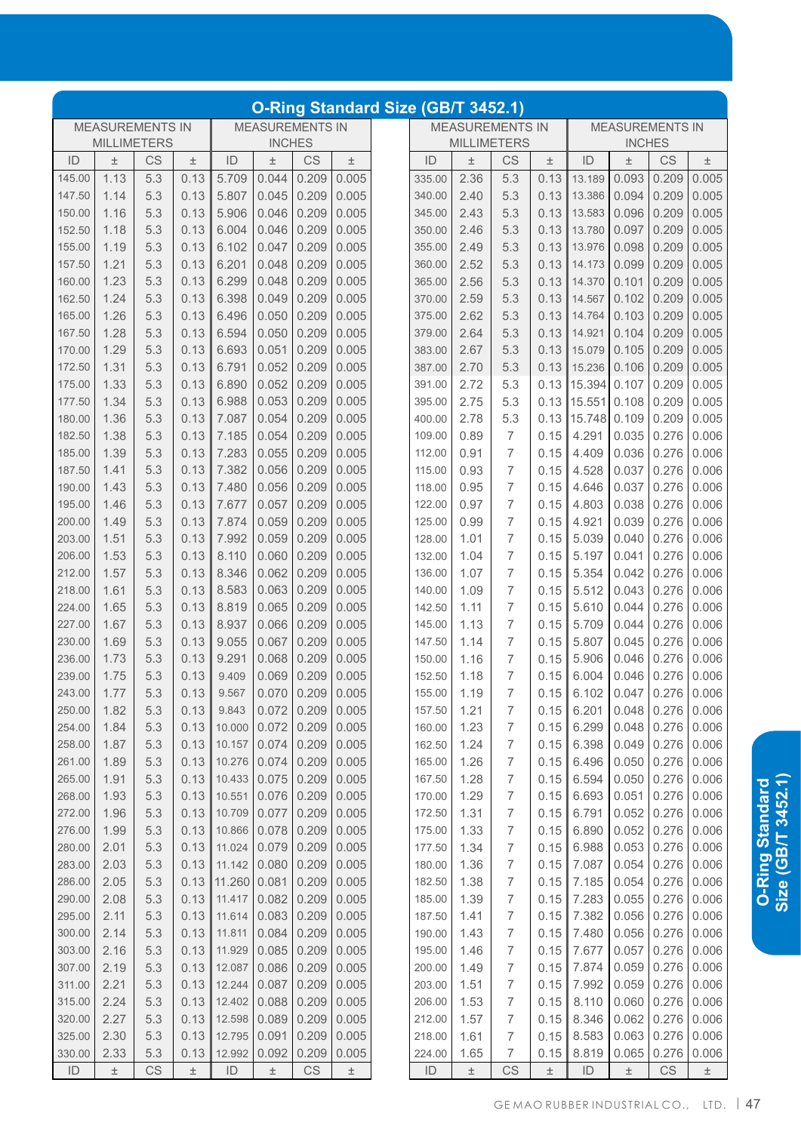| O-Ring Standard Size (GB/T 3452.1) |       |               |                                                  |        |       |     |                    |        |       |                                     |                                                  |        |       |     |       |        |  |  |  |  |
|------------------------------------|-------|---------------|--------------------------------------------------|--------|-------|-----|--------------------|--------|-------|-------------------------------------|--------------------------------------------------|--------|-------|-----|-------|--------|--|--|--|--|
|                                    |       |               | <b>MEASUREMENTS IN</b><br><b>MEASUREMENTS IN</b> |        |       |     |                    |        |       |                                     | <b>MEASUREMENTS IN</b><br><b>MEASUREMENTS IN</b> |        |       |     |       |        |  |  |  |  |
|                                    |       |               | <b>INCHES</b>                                    |        |       |     | <b>MILLIMETERS</b> |        |       | <b>INCHES</b><br><b>MILLIMETERS</b> |                                                  |        |       |     |       |        |  |  |  |  |
|                                    | $\pm$ | <b>CS</b>     | $\pm$                                            | ID     | $\pm$ | CS  | $\pm$              | ID     | $\pm$ | CS                                  | $\pm$                                            | ID     | 土     | CS  | $\pm$ | ID     |  |  |  |  |
|                                    | 0.005 | 0.209         | 0.093                                            | 13.189 | 0.13  | 5.3 | 2.36               | 335.00 | 0.005 | 0.209                               | 0.044                                            | 5.709  | 0.13  | 5.3 | 1.13  | 145.00 |  |  |  |  |
|                                    | 0.005 | 0.209         | 0.094                                            | 13.386 | 0.13  | 5.3 | 2.40               | 340.00 | 0.005 | 0.209                               | 0.045                                            | 5.807  | 0.13  | 5.3 | 1.14  | 147.50 |  |  |  |  |
|                                    | 0.005 | 0.209         | 0.096                                            | 13.583 | 0.13  | 5.3 | 2.43               | 345.00 | 0.005 | 0.209                               | 0.046                                            | 5.906  | 0.13  | 5.3 | 1.16  | 150.00 |  |  |  |  |
|                                    | 0.005 | 0.209         | 0.097                                            | 13.780 | 0.13  | 5.3 | 2.46               | 350.00 | 0.005 | 0.209                               | 0.046                                            | 6.004  | 0.13  | 5.3 | 1.18  | 152.50 |  |  |  |  |
|                                    | 0.005 | 0.209         | 0.098                                            | 13.976 | 0.13  | 5.3 | 2.49               | 355.00 | 0.005 | 0.209                               | 0.047                                            | 6.102  | 0.13  | 5.3 | 1.19  | 155.00 |  |  |  |  |
|                                    | 0.005 | 0.209         | 0.099                                            | 14.173 | 0.13  | 5.3 | 2.52               | 360.00 | 0.005 | 0.209                               | 0.048                                            | 6.201  | 0.13  | 5.3 | 1.21  | 157.50 |  |  |  |  |
|                                    | 0.005 | 0.209         | 0.101                                            | 14.370 | 0.13  | 5.3 | 2.56               | 365.00 | 0.005 | 0.209                               | 0.048                                            | 6.299  | 0.13  | 5.3 | 1.23  | 160.00 |  |  |  |  |
|                                    | 0.005 | 0.209         | 0.102                                            | 14.567 | 0.13  | 5.3 | 2.59               | 370.00 | 0.005 | 0.209                               | 0.049                                            | 6.398  | 0.13  | 5.3 | 1.24  | 162.50 |  |  |  |  |
|                                    | 0.005 | 0.209         | 0.103                                            | 14.764 | 0.13  | 5.3 | 2.62               | 375.00 | 0.005 | 0.209                               | 0.050                                            | 6.496  | 0.13  | 5.3 | 1.26  | 165.00 |  |  |  |  |
|                                    | 0.005 | 0.209         | 0.104                                            | 14.921 | 0.13  | 5.3 | 2.64               | 379.00 | 0.005 | 0.209                               | 0.050                                            | 6.594  | 0.13  | 5.3 | 1.28  | 167.50 |  |  |  |  |
|                                    | 0.005 | 0.209         | 0.105                                            | 15.079 | 0.13  | 5.3 | 2.67               | 383.00 | 0.005 | 0.209                               | 0.051                                            | 6.693  | 0.13  | 5.3 | 1.29  | 170.00 |  |  |  |  |
|                                    | 0.005 | 0.209         | 0.106                                            | 15.236 | 0.13  | 5.3 | 2.70               | 387.00 | 0.005 | 0.209                               | 0.052                                            | 6.791  | 0.13  | 5.3 | 1.31  | 172.50 |  |  |  |  |
|                                    | 0.005 | 0.209         | 0.107                                            | 15.394 | 0.13  | 5.3 | 2.72               | 391.00 | 0.005 | 0.209                               | 0.052                                            | 6.890  | 0.13  | 5.3 | 1.33  | 175.00 |  |  |  |  |
|                                    | 0.005 | 0.209         | 0.108                                            | 15.551 | 0.13  | 5.3 | 2.75               | 395.00 | 0.005 | 0.209                               | 0.053                                            | 6.988  | 0.13  | 5.3 | 1.34  | 177.50 |  |  |  |  |
|                                    | 0.005 | 0.209         | 0.109                                            | 15.748 | 0.13  | 5.3 | 2.78               | 400.00 | 0.005 | 0.209                               | 0.054                                            | 7.087  | 0.13  | 5.3 | 1.36  | 180.00 |  |  |  |  |
|                                    | 0.006 | 0.276         | 0.035                                            | 4.291  | 0.15  | 7   | 0.89               | 109.00 | 0.005 | 0.209                               | 0.054                                            | 7.185  | 0.13  | 5.3 | 1.38  | 182.50 |  |  |  |  |
|                                    | 0.006 | 0.276         | 0.036                                            | 4.409  | 0.15  | 7   | 0.91               | 112.00 | 0.005 | 0.209                               | 0.055                                            | 7.283  | 0.13  | 5.3 | 1.39  | 185.00 |  |  |  |  |
|                                    | 0.006 | 0.276         | 0.037                                            | 4.528  | 0.15  | 7   | 0.93               | 115.00 | 0.005 | 0.209                               | 0.056                                            | 7.382  | 0.13  | 5.3 | 1.41  | 187.50 |  |  |  |  |
|                                    | 0.006 | 0.276         | 0.037                                            | 4.646  | 0.15  | 7   | 0.95               | 118.00 | 0.005 | 0.209                               | 0.056                                            | 7.480  | 0.13  | 5.3 | 1.43  | 190.00 |  |  |  |  |
|                                    | 0.006 | 0.276         | 0.038                                            | 4.803  | 0.15  | 7   | 0.97               | 122.00 | 0.005 | 0.209                               | 0.057                                            | 7.677  | 0.13  | 5.3 | 1.46  | 195.00 |  |  |  |  |
|                                    | 0.006 | 0.276         | 0.039                                            | 4.921  | 0.15  | 7   | 0.99               | 125.00 | 0.005 | 0.209                               | 0.059                                            | 7.874  | 0.13  | 5.3 | 1.49  | 200.00 |  |  |  |  |
|                                    | 0.006 | 0.276         | 0.040                                            | 5.039  | 0.15  | 7   | 1.01               | 128.00 | 0.005 | 0.209                               | 0.059                                            | 7.992  | 0.13  | 5.3 | 1.51  | 203.00 |  |  |  |  |
|                                    | 0.006 | 0.276         | 0.041                                            | 5.197  | 0.15  | 7   | 1.04               | 132.00 | 0.005 | 0.209                               | 0.060                                            | 8.110  | 0.13  | 5.3 | 1.53  | 206.00 |  |  |  |  |
|                                    | 0.006 | 0.276         | 0.042                                            | 5.354  | 0.15  | 7   | 1.07               | 136.00 | 0.005 | 0.209                               | 0.062                                            | 8.346  | 0.13  | 5.3 | 1.57  | 212.00 |  |  |  |  |
|                                    | 0.006 | 0.276         | 0.043                                            | 5.512  | 0.15  | 7   | 1.09               | 140.00 | 0.005 | 0.209                               | 0.063                                            | 8.583  | 0.13  | 5.3 | 1.61  | 218.00 |  |  |  |  |
|                                    | 0.006 | 0.276         | 0.044                                            | 5.610  | 0.15  | 7   | 1.11               | 142.50 | 0.005 | 0.209                               | 0.065                                            | 8.819  | 0.13  | 5.3 | 1.65  | 224.00 |  |  |  |  |
|                                    | 0.006 | 0.276         | 0.044                                            | 5.709  | 0.15  | 7   | 1.13               | 145.00 | 0.005 | 0.209                               | 0.066                                            | 8.937  | 0.13  | 5.3 | 1.67  | 227.00 |  |  |  |  |
|                                    | 0.006 | 0.276         | 0.045                                            | 5.807  | 0.15  | 7   | 1.14               | 147.50 | 0.005 | 0.209                               | 0.067                                            | 9.055  | 0.13  | 5.3 | 1.69  | 230.00 |  |  |  |  |
|                                    | 0.006 | 0.276         | 0.046                                            | 5.906  | 0.15  | 7   | 1.16               | 150.00 | 0.005 | 0.209                               | 0.068                                            | 9.291  | 0.13  | 5.3 | 1.73  | 236.00 |  |  |  |  |
|                                    | 0.006 | 0.276         | 0.046                                            | 6.004  | 0.15  | 7   | 1.18               | 152.50 | 0.005 | 0.209                               | 0.069                                            | 9.409  | 0.13  | 5.3 | 1.75  | 239.00 |  |  |  |  |
|                                    |       | $0.276$ 0.006 | 0.047                                            | 6.102  | 0.15  | 7   | 1.19               | 155.00 |       |                                     | $0.070$ 0.209 0.005                              | 9.567  | 0.13  | 5.3 | 1.77  | 243.00 |  |  |  |  |
|                                    | 0.006 | 0.276         | 0.048                                            | 6.201  | 0.15  | 7   | 1.21               | 157.50 | 0.005 | 0.209                               | 0.072                                            | 9.843  | 0.13  | 5.3 | 1.82  | 250.00 |  |  |  |  |
|                                    | 0.006 | 0.276         | 0.048                                            | 6.299  | 0.15  | 7   | 1.23               | 160.00 | 0.005 | 0.209                               | 0.072                                            | 10.000 | 0.13  | 5.3 | 1.84  | 254.00 |  |  |  |  |
|                                    | 0.006 | 0.276         | 0.049                                            | 6.398  | 0.15  | 7   | 1.24               | 162.50 | 0.005 | 0.209                               | 0.074                                            | 10.157 | 0.13  | 5.3 | 1.87  | 258.00 |  |  |  |  |
|                                    | 0.006 | 0.276         | 0.050                                            | 6.496  | 0.15  | 7   | 1.26               | 165.00 | 0.005 | 0.209                               | 0.074                                            | 10.276 | 0.13  | 5.3 | 1.89  | 261.00 |  |  |  |  |
|                                    | 0.006 | 0.276         | 0.050                                            | 6.594  | 0.15  | 7   | 1.28               | 167.50 | 0.005 | 0.209                               | 0.075                                            | 10.433 | 0.13  | 5.3 | 1.91  | 265.00 |  |  |  |  |
|                                    | 0.006 | 0.276         | 0.051                                            | 6.693  | 0.15  | 7   | 1.29               | 170.00 | 0.005 | 0.209                               | 0.076                                            | 10.551 | 0.13  | 5.3 | 1.93  | 268.00 |  |  |  |  |
|                                    | 0.006 | 0.276         | 0.052                                            | 6.791  | 0.15  | 7   | 1.31               | 172.50 | 0.005 | 0.209                               | 0.077                                            | 10.709 | 0.13  | 5.3 | 1.96  | 272.00 |  |  |  |  |
|                                    | 0.006 | 0.276         | 0.052                                            | 6.890  | 0.15  | 7   | 1.33               | 175.00 | 0.005 | 0.209                               | 0.078                                            | 10.866 | 0.13  | 5.3 | 1.99  | 276.00 |  |  |  |  |
|                                    | 0.006 | 0.276         | 0.053                                            | 6.988  | 0.15  | 7   | 1.34               | 177.50 | 0.005 | 0.209                               | 0.079                                            | 11.024 | 0.13  | 5.3 | 2.01  | 280.00 |  |  |  |  |
|                                    | 0.006 | 0.276         | 0.054                                            | 7.087  | 0.15  | 7   | 1.36               | 180.00 | 0.005 | 0.209                               | 0.080                                            | 11.142 | 0.13  | 5.3 | 2.03  | 283.00 |  |  |  |  |
|                                    | 0.006 | 0.276         | 0.054                                            | 7.185  | 0.15  | 7   | 1.38               | 182.50 | 0.005 | 0.209                               | 0.081                                            | 11.260 | 0.13  | 5.3 | 2.05  | 286.00 |  |  |  |  |
|                                    | 0.006 | 0.276         | 0.055                                            | 7.283  | 0.15  | 7   | 1.39               | 185.00 | 0.005 | 0.209                               | 0.082                                            | 11.417 | 0.13  | 5.3 | 2.08  | 290.00 |  |  |  |  |
|                                    | 0.006 | 0.276         | 0.056                                            | 7.382  | 0.15  | 7   | 1.41               | 187.50 | 0.005 | 0.209                               | 0.083                                            | 11.614 | 0.13  | 5.3 | 2.11  | 295.00 |  |  |  |  |
|                                    | 0.006 | 0.276         | 0.056                                            | 7.480  | 0.15  | 7   | 1.43               | 190.00 | 0.005 | 0.209                               | 0.084                                            | 11.811 | 0.13  | 5.3 | 2.14  | 300.00 |  |  |  |  |
|                                    | 0.006 | 0.276         | 0.057                                            | 7.677  | 0.15  | 7   | 1.46               | 195.00 | 0.005 | 0.209                               | 0.085                                            | 11.929 | 0.13  | 5.3 | 2.16  | 303.00 |  |  |  |  |
|                                    | 0.006 | 0.276         | 0.059                                            | 7.874  | 0.15  | 7   | 1.49               | 200.00 | 0.005 | 0.209                               | 0.086                                            | 12.087 | 0.13  | 5.3 | 2.19  | 307.00 |  |  |  |  |
|                                    | 0.006 | 0.276         | 0.059                                            | 7.992  | 0.15  | 7   | 1.51               | 203.00 | 0.005 | 0.209                               | 0.087                                            | 12.244 | 0.13  | 5.3 | 2.21  | 311.00 |  |  |  |  |
|                                    | 0.006 | 0.276         | 0.060                                            | 8.110  | 0.15  | 7   | 1.53               | 206.00 | 0.005 | 0.209                               | 0.088                                            | 12.402 | 0.13  | 5.3 | 2.24  | 315.00 |  |  |  |  |
|                                    | 0.006 | 0.276         | 0.062                                            | 8.346  | 0.15  | 7   | 1.57               | 212.00 | 0.005 | 0.209                               | 0.089                                            | 12.598 | 0.13  | 5.3 | 2.27  | 320.00 |  |  |  |  |
|                                    | 0.006 | 0.276         | 0.063                                            | 8.583  | 0.15  | 7   | 1.61               | 218.00 | 0.005 | 0.209                               | 0.091                                            | 12.795 | 0.13  | 5.3 | 2.30  | 325.00 |  |  |  |  |
|                                    | 0.006 | 0.276         | 0.065                                            | 8.819  | 0.15  | 7   | 1.65               | 224.00 | 0.005 | 0.209                               | 0.092                                            | 12.992 | 0.13  | 5.3 | 2.33  | 330.00 |  |  |  |  |
|                                    | $\pm$ | CS            | $\pm$                                            | ID     | $\pm$ | CS  | $\pm$              | ID     | $\pm$ | CS                                  | 土                                                | ID     | $\pm$ | CS  | $\pm$ | ID     |  |  |  |  |